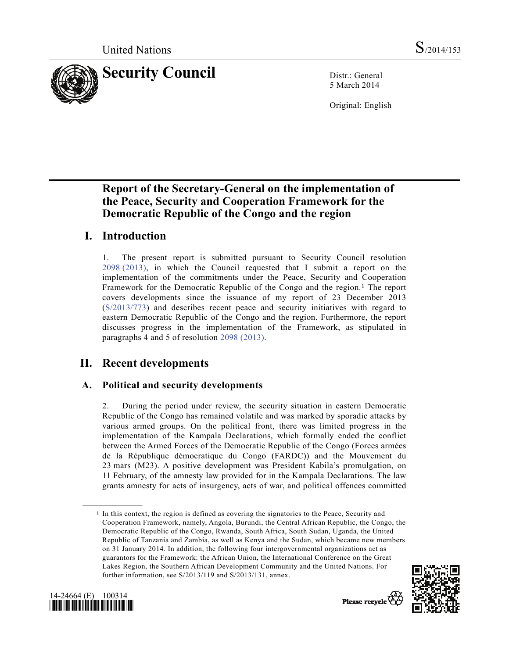

5 March 2014

Original: English

# **Report of the Secretary-General on the implementation of the Peace, Security and Cooperation Framework for the Democratic Republic of the Congo and the region**

# **I. Introduction**

1. The present report is submitted pursuant to Security Council resolution 2098 (2013), in which the Council requested that I submit a report on the implementation of the commitments under the Peace, Security and Cooperation Framework for the Democratic Republic of the Congo and the region.<sup>1</sup> The report covers developments since the issuance of my report of 23 December 2013 (S/2013/773) and describes recent peace and security initiatives with regard to eastern Democratic Republic of the Congo and the region. Furthermore, the report discusses progress in the implementation of the Framework, as stipulated in paragraphs 4 and 5 of resolution 2098 (2013).

# **II. Recent developments**

## **A. Political and security developments**

2. During the period under review, the security situation in eastern Democratic Republic of the Congo has remained volatile and was marked by sporadic attacks by various armed groups. On the political front, there was limited progress in the implementation of the Kampala Declarations, which formally ended the conflict between the Armed Forces of the Democratic Republic of the Congo (Forces armées de la République démocratique du Congo (FARDC)) and the Mouvement du 23 mars (M23). A positive development was President Kabila's promulgation, on 11 February, of the amnesty law provided for in the Kampala Declarations. The law grants amnesty for acts of insurgency, acts of war, and political offences committed

<sup>1</sup> In this context, the region is defined as covering the signatories to the Peace, Security and Cooperation Framework, namely, Angola, Burundi, the Central African Republic, the Congo, the Democratic Republic of the Congo, Rwanda, South Africa, South Sudan, Uganda, the United Republic of Tanzania and Zambia, as well as Kenya and the Sudan, which became new members on 31 January 2014. In addition, the following four intergovernmental organizations act as guarantors for the Framework: the African Union, the International Conference on the Great Lakes Region, the Southern African Development Community and the United Nations. For further information, see S/2013/119 and S/2013/131, annex.





**\_\_\_\_\_\_\_\_\_\_\_\_\_\_\_\_\_\_**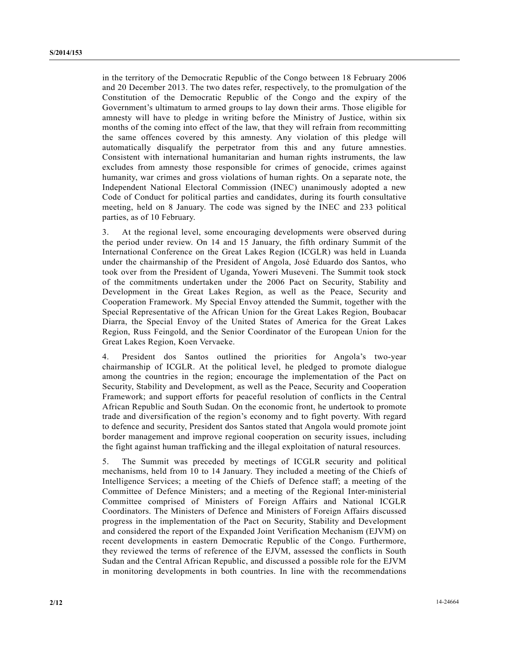in the territory of the Democratic Republic of the Congo between 18 February 2006 and 20 December 2013. The two dates refer, respectively, to the promulgation of the Constitution of the Democratic Republic of the Congo and the expiry of the Government's ultimatum to armed groups to lay down their arms. Those eligible for amnesty will have to pledge in writing before the Ministry of Justice, within six months of the coming into effect of the law, that they will refrain from recommitting the same offences covered by this amnesty. Any violation of this pledge will automatically disqualify the perpetrator from this and any future amnesties. Consistent with international humanitarian and human rights instruments, the law excludes from amnesty those responsible for crimes of genocide, crimes against humanity, war crimes and gross violations of human rights. On a separate note, the Independent National Electoral Commission (INEC) unanimously adopted a new Code of Conduct for political parties and candidates, during its fourth consultative meeting, held on 8 January. The code was signed by the INEC and 233 political parties, as of 10 February.

3. At the regional level, some encouraging developments were observed during the period under review. On 14 and 15 January, the fifth ordinary Summit of the International Conference on the Great Lakes Region (ICGLR) was held in Luanda under the chairmanship of the President of Angola, José Eduardo dos Santos, who took over from the President of Uganda, Yoweri Museveni. The Summit took stock of the commitments undertaken under the 2006 Pact on Security, Stability and Development in the Great Lakes Region, as well as the Peace, Security and Cooperation Framework. My Special Envoy attended the Summit, together with the Special Representative of the African Union for the Great Lakes Region, Boubacar Diarra, the Special Envoy of the United States of America for the Great Lakes Region, Russ Feingold, and the Senior Coordinator of the European Union for the Great Lakes Region, Koen Vervaeke.

4. President dos Santos outlined the priorities for Angola's two-year chairmanship of ICGLR. At the political level, he pledged to promote dialogue among the countries in the region; encourage the implementation of the Pact on Security, Stability and Development, as well as the Peace, Security and Cooperation Framework; and support efforts for peaceful resolution of conflicts in the Central African Republic and South Sudan. On the economic front, he undertook to promote trade and diversification of the region's economy and to fight poverty. With regard to defence and security, President dos Santos stated that Angola would promote joint border management and improve regional cooperation on security issues, including the fight against human trafficking and the illegal exploitation of natural resources.

5. The Summit was preceded by meetings of ICGLR security and political mechanisms, held from 10 to 14 January. They included a meeting of the Chiefs of Intelligence Services; a meeting of the Chiefs of Defence staff; a meeting of the Committee of Defence Ministers; and a meeting of the Regional Inter-ministerial Committee comprised of Ministers of Foreign Affairs and National ICGLR Coordinators. The Ministers of Defence and Ministers of Foreign Affairs discussed progress in the implementation of the Pact on Security, Stability and Development and considered the report of the Expanded Joint Verification Mechanism (EJVM) on recent developments in eastern Democratic Republic of the Congo. Furthermore, they reviewed the terms of reference of the EJVM, assessed the conflicts in South Sudan and the Central African Republic, and discussed a possible role for the EJVM in monitoring developments in both countries. In line with the recommendations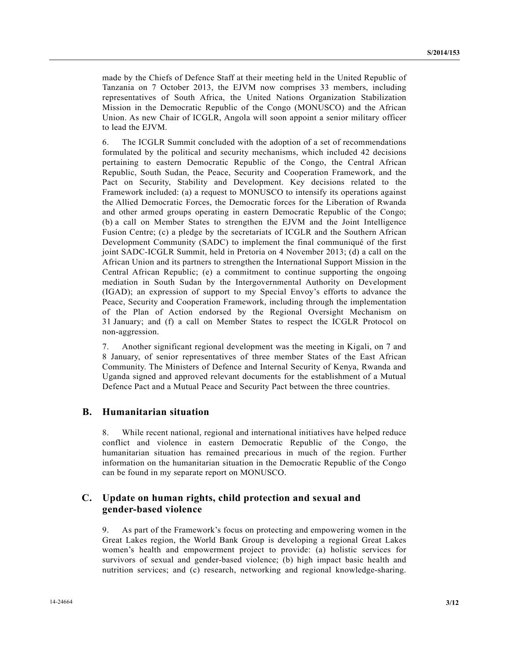made by the Chiefs of Defence Staff at their meeting held in the United Republic of Tanzania on 7 October 2013, the EJVM now comprises 33 members, including representatives of South Africa, the United Nations Organization Stabilization Mission in the Democratic Republic of the Congo (MONUSCO) and the African Union. As new Chair of ICGLR, Angola will soon appoint a senior military officer to lead the EJVM.

6. The ICGLR Summit concluded with the adoption of a set of recommendations formulated by the political and security mechanisms, which included 42 decisions pertaining to eastern Democratic Republic of the Congo, the Central African Republic, South Sudan, the Peace, Security and Cooperation Framework, and the Pact on Security, Stability and Development. Key decisions related to the Framework included: (a) a request to MONUSCO to intensify its operations against the Allied Democratic Forces, the Democratic forces for the Liberation of Rwanda and other armed groups operating in eastern Democratic Republic of the Congo; (b) a call on Member States to strengthen the EJVM and the Joint Intelligence Fusion Centre; (c) a pledge by the secretariats of ICGLR and the Southern African Development Community (SADC) to implement the final communiqué of the first joint SADC-ICGLR Summit, held in Pretoria on 4 November 2013; (d) a call on the African Union and its partners to strengthen the International Support Mission in the Central African Republic; (e) a commitment to continue supporting the ongoing mediation in South Sudan by the Intergovernmental Authority on Development (IGAD); an expression of support to my Special Envoy's efforts to advance the Peace, Security and Cooperation Framework, including through the implementation of the Plan of Action endorsed by the Regional Oversight Mechanism on 31 January; and (f) a call on Member States to respect the ICGLR Protocol on non-aggression.

7. Another significant regional development was the meeting in Kigali, on 7 and 8 January, of senior representatives of three member States of the East African Community. The Ministers of Defence and Internal Security of Kenya, Rwanda and Uganda signed and approved relevant documents for the establishment of a Mutual Defence Pact and a Mutual Peace and Security Pact between the three countries.

#### **B. Humanitarian situation**

8. While recent national, regional and international initiatives have helped reduce conflict and violence in eastern Democratic Republic of the Congo, the humanitarian situation has remained precarious in much of the region. Further information on the humanitarian situation in the Democratic Republic of the Congo can be found in my separate report on MONUSCO.

#### **C. Update on human rights, child protection and sexual and gender-based violence**

9. As part of the Framework's focus on protecting and empowering women in the Great Lakes region, the World Bank Group is developing a regional Great Lakes women's health and empowerment project to provide: (a) holistic services for survivors of sexual and gender-based violence; (b) high impact basic health and nutrition services; and (c) research, networking and regional knowledge-sharing.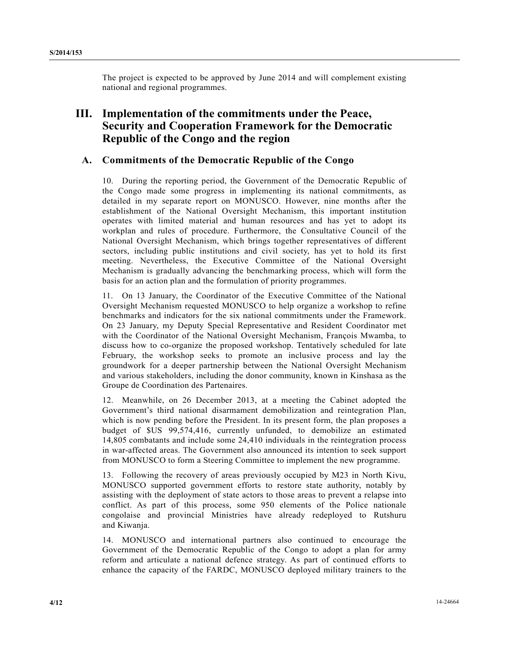The project is expected to be approved by June 2014 and will complement existing national and regional programmes.

## **III. Implementation of the commitments under the Peace, Security and Cooperation Framework for the Democratic Republic of the Congo and the region**

#### **A. Commitments of the Democratic Republic of the Congo**

10. During the reporting period, the Government of the Democratic Republic of the Congo made some progress in implementing its national commitments, as detailed in my separate report on MONUSCO. However, nine months after the establishment of the National Oversight Mechanism, this important institution operates with limited material and human resources and has yet to adopt its workplan and rules of procedure. Furthermore, the Consultative Council of the National Oversight Mechanism, which brings together representatives of different sectors, including public institutions and civil society, has yet to hold its first meeting. Nevertheless, the Executive Committee of the National Oversight Mechanism is gradually advancing the benchmarking process, which will form the basis for an action plan and the formulation of priority programmes.

11. On 13 January, the Coordinator of the Executive Committee of the National Oversight Mechanism requested MONUSCO to help organize a workshop to refine benchmarks and indicators for the six national commitments under the Framework. On 23 January, my Deputy Special Representative and Resident Coordinator met with the Coordinator of the National Oversight Mechanism, François Mwamba, to discuss how to co-organize the proposed workshop. Tentatively scheduled for late February, the workshop seeks to promote an inclusive process and lay the groundwork for a deeper partnership between the National Oversight Mechanism and various stakeholders, including the donor community, known in Kinshasa as the Groupe de Coordination des Partenaires.

12. Meanwhile, on 26 December 2013, at a meeting the Cabinet adopted the Government's third national disarmament demobilization and reintegration Plan, which is now pending before the President. In its present form, the plan proposes a budget of \$US 99,574,416, currently unfunded, to demobilize an estimated 14,805 combatants and include some 24,410 individuals in the reintegration process in war-affected areas. The Government also announced its intention to seek support from MONUSCO to form a Steering Committee to implement the new programme.

13. Following the recovery of areas previously occupied by M23 in North Kivu, MONUSCO supported government efforts to restore state authority, notably by assisting with the deployment of state actors to those areas to prevent a relapse into conflict. As part of this process, some 950 elements of the Police nationale congolaise and provincial Ministries have already redeployed to Rutshuru and Kiwanja.

14. MONUSCO and international partners also continued to encourage the Government of the Democratic Republic of the Congo to adopt a plan for army reform and articulate a national defence strategy. As part of continued efforts to enhance the capacity of the FARDC, MONUSCO deployed military trainers to the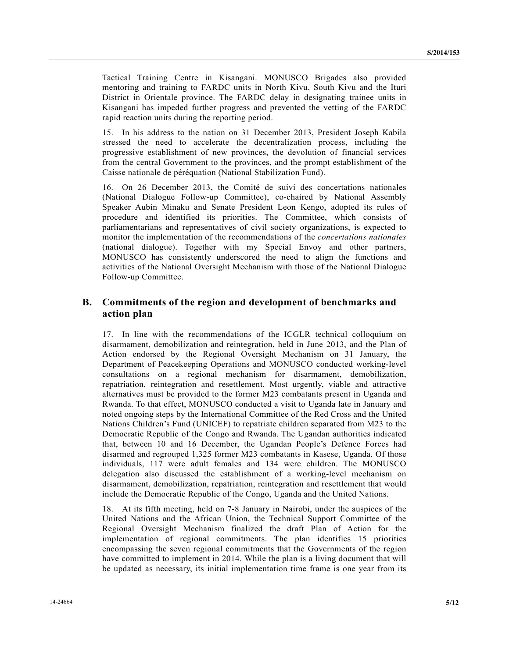Tactical Training Centre in Kisangani. MONUSCO Brigades also provided mentoring and training to FARDC units in North Kivu, South Kivu and the Ituri District in Orientale province. The FARDC delay in designating trainee units in Kisangani has impeded further progress and prevented the vetting of the FARDC rapid reaction units during the reporting period.

15. In his address to the nation on 31 December 2013, President Joseph Kabila stressed the need to accelerate the decentralization process, including the progressive establishment of new provinces, the devolution of financial services from the central Government to the provinces, and the prompt establishment of the Caisse nationale de péréquation (National Stabilization Fund).

16. On 26 December 2013, the Comité de suivi des concertations nationales (National Dialogue Follow-up Committee), co-chaired by National Assembly Speaker Aubin Minaku and Senate President Leon Kengo, adopted its rules of procedure and identified its priorities. The Committee, which consists of parliamentarians and representatives of civil society organizations, is expected to monitor the implementation of the recommendations of the *concertations nationales* (national dialogue). Together with my Special Envoy and other partners, MONUSCO has consistently underscored the need to align the functions and activities of the National Oversight Mechanism with those of the National Dialogue Follow-up Committee.

### **B. Commitments of the region and development of benchmarks and action plan**

17. In line with the recommendations of the ICGLR technical colloquium on disarmament, demobilization and reintegration, held in June 2013, and the Plan of Action endorsed by the Regional Oversight Mechanism on 31 January, the Department of Peacekeeping Operations and MONUSCO conducted working-level consultations on a regional mechanism for disarmament, demobilization, repatriation, reintegration and resettlement. Most urgently, viable and attractive alternatives must be provided to the former M23 combatants present in Uganda and Rwanda. To that effect, MONUSCO conducted a visit to Uganda late in January and noted ongoing steps by the International Committee of the Red Cross and the United Nations Children's Fund (UNICEF) to repatriate children separated from M23 to the Democratic Republic of the Congo and Rwanda. The Ugandan authorities indicated that, between 10 and 16 December, the Ugandan People's Defence Forces had disarmed and regrouped 1,325 former M23 combatants in Kasese, Uganda. Of those individuals, 117 were adult females and 134 were children. The MONUSCO delegation also discussed the establishment of a working-level mechanism on disarmament, demobilization, repatriation, reintegration and resettlement that would include the Democratic Republic of the Congo, Uganda and the United Nations.

18. At its fifth meeting, held on 7-8 January in Nairobi, under the auspices of the United Nations and the African Union, the Technical Support Committee of the Regional Oversight Mechanism finalized the draft Plan of Action for the implementation of regional commitments. The plan identifies 15 priorities encompassing the seven regional commitments that the Governments of the region have committed to implement in 2014. While the plan is a living document that will be updated as necessary, its initial implementation time frame is one year from its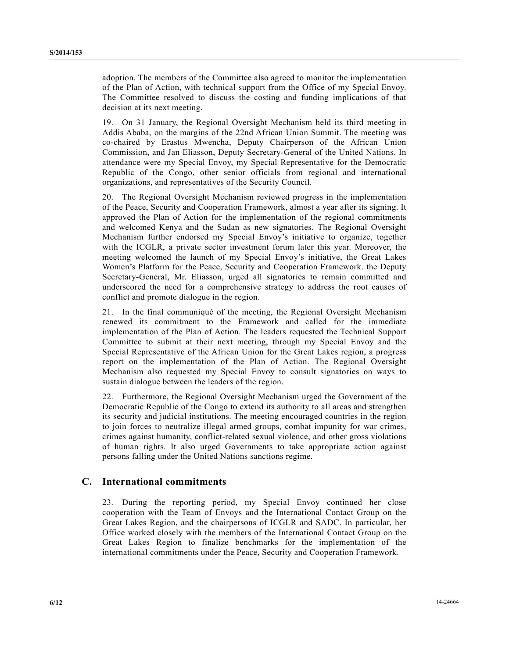adoption. The members of the Committee also agreed to monitor the implementation of the Plan of Action, with technical support from the Office of my Special Envoy. The Committee resolved to discuss the costing and funding implications of that decision at its next meeting.

19. On 31 January, the Regional Oversight Mechanism held its third meeting in Addis Ababa, on the margins of the 22nd African Union Summit. The meeting was co-chaired by Erastus Mwencha, Deputy Chairperson of the African Union Commission, and Jan Eliasson, Deputy Secretary-General of the United Nations. In attendance were my Special Envoy, my Special Representative for the Democratic Republic of the Congo, other senior officials from regional and international organizations, and representatives of the Security Council.

20. The Regional Oversight Mechanism reviewed progress in the implementation of the Peace, Security and Cooperation Framework, almost a year after its signing. It approved the Plan of Action for the implementation of the regional commitments and welcomed Kenya and the Sudan as new signatories. The Regional Oversight Mechanism further endorsed my Special Envoy's initiative to organize, together with the ICGLR, a private sector investment forum later this year. Moreover, the meeting welcomed the launch of my Special Envoy's initiative, the Great Lakes Women's Platform for the Peace, Security and Cooperation Framework. the Deputy Secretary-General, Mr. Eliasson, urged all signatories to remain committed and underscored the need for a comprehensive strategy to address the root causes of conflict and promote dialogue in the region.

21. In the final communiqué of the meeting, the Regional Oversight Mechanism renewed its commitment to the Framework and called for the immediate implementation of the Plan of Action. The leaders requested the Technical Support Committee to submit at their next meeting, through my Special Envoy and the Special Representative of the African Union for the Great Lakes region, a progress report on the implementation of the Plan of Action. The Regional Oversight Mechanism also requested my Special Envoy to consult signatories on ways to sustain dialogue between the leaders of the region.

22. Furthermore, the Regional Oversight Mechanism urged the Government of the Democratic Republic of the Congo to extend its authority to all areas and strengthen its security and judicial institutions. The meeting encouraged countries in the region to join forces to neutralize illegal armed groups, combat impunity for war crimes, crimes against humanity, conflict-related sexual violence, and other gross violations of human rights. It also urged Governments to take appropriate action against persons falling under the United Nations sanctions regime.

#### **C. International commitments**

23. During the reporting period, my Special Envoy continued her close cooperation with the Team of Envoys and the International Contact Group on the Great Lakes Region, and the chairpersons of ICGLR and SADC. In particular, her Office worked closely with the members of the International Contact Group on the Great Lakes Region to finalize benchmarks for the implementation of the international commitments under the Peace, Security and Cooperation Framework.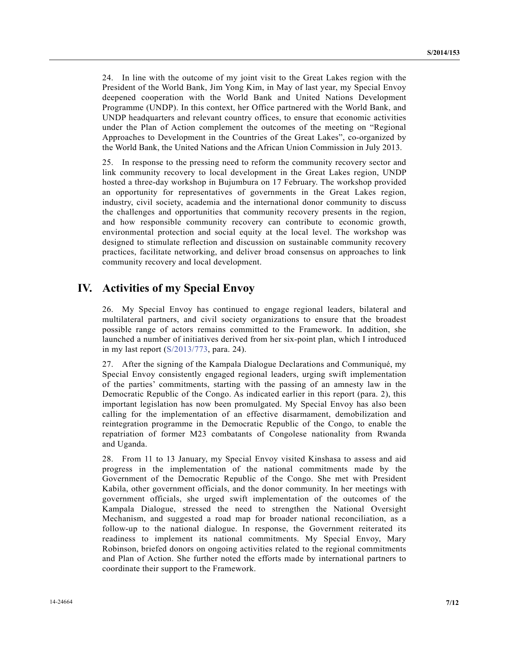24. In line with the outcome of my joint visit to the Great Lakes region with the President of the World Bank, Jim Yong Kim, in May of last year, my Special Envoy deepened cooperation with the World Bank and United Nations Development Programme (UNDP). In this context, her Office partnered with the World Bank, and UNDP headquarters and relevant country offices, to ensure that economic activities under the Plan of Action complement the outcomes of the meeting on "Regional Approaches to Development in the Countries of the Great Lakes", co-organized by the World Bank, the United Nations and the African Union Commission in July 2013.

25. In response to the pressing need to reform the community recovery sector and link community recovery to local development in the Great Lakes region, UNDP hosted a three-day workshop in Bujumbura on 17 February. The workshop provided an opportunity for representatives of governments in the Great Lakes region, industry, civil society, academia and the international donor community to discuss the challenges and opportunities that community recovery presents in the region, and how responsible community recovery can contribute to economic growth, environmental protection and social equity at the local level. The workshop was designed to stimulate reflection and discussion on sustainable community recovery practices, facilitate networking, and deliver broad consensus on approaches to link community recovery and local development.

### **IV. Activities of my Special Envoy**

26. My Special Envoy has continued to engage regional leaders, bilateral and multilateral partners, and civil society organizations to ensure that the broadest possible range of actors remains committed to the Framework. In addition, she launched a number of initiatives derived from her six-point plan, which I introduced in my last report (S/2013/773, para. 24).

27. After the signing of the Kampala Dialogue Declarations and Communiqué, my Special Envoy consistently engaged regional leaders, urging swift implementation of the parties' commitments, starting with the passing of an amnesty law in the Democratic Republic of the Congo. As indicated earlier in this report (para. 2), this important legislation has now been promulgated. My Special Envoy has also been calling for the implementation of an effective disarmament, demobilization and reintegration programme in the Democratic Republic of the Congo, to enable the repatriation of former M23 combatants of Congolese nationality from Rwanda and Uganda.

28. From 11 to 13 January, my Special Envoy visited Kinshasa to assess and aid progress in the implementation of the national commitments made by the Government of the Democratic Republic of the Congo. She met with President Kabila, other government officials, and the donor community. In her meetings with government officials, she urged swift implementation of the outcomes of the Kampala Dialogue, stressed the need to strengthen the National Oversight Mechanism, and suggested a road map for broader national reconciliation, as a follow-up to the national dialogue. In response, the Government reiterated its readiness to implement its national commitments. My Special Envoy, Mary Robinson, briefed donors on ongoing activities related to the regional commitments and Plan of Action. She further noted the efforts made by international partners to coordinate their support to the Framework.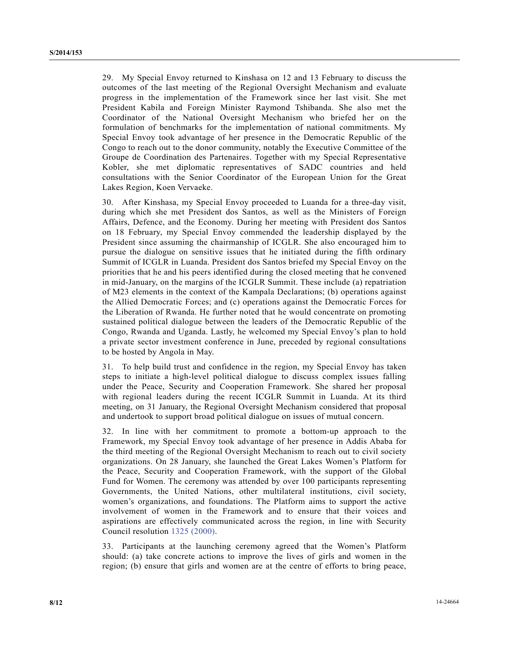29. My Special Envoy returned to Kinshasa on 12 and 13 February to discuss the outcomes of the last meeting of the Regional Oversight Mechanism and evaluate progress in the implementation of the Framework since her last visit. She met President Kabila and Foreign Minister Raymond Tshibanda. She also met the Coordinator of the National Oversight Mechanism who briefed her on the formulation of benchmarks for the implementation of national commitments. My Special Envoy took advantage of her presence in the Democratic Republic of the Congo to reach out to the donor community, notably the Executive Committee of the Groupe de Coordination des Partenaires. Together with my Special Representative Kobler, she met diplomatic representatives of SADC countries and held consultations with the Senior Coordinator of the European Union for the Great Lakes Region, Koen Vervaeke.

30. After Kinshasa, my Special Envoy proceeded to Luanda for a three-day visit, during which she met President dos Santos, as well as the Ministers of Foreign Affairs, Defence, and the Economy. During her meeting with President dos Santos on 18 February, my Special Envoy commended the leadership displayed by the President since assuming the chairmanship of ICGLR. She also encouraged him to pursue the dialogue on sensitive issues that he initiated during the fifth ordinary Summit of ICGLR in Luanda. President dos Santos briefed my Special Envoy on the priorities that he and his peers identified during the closed meeting that he convened in mid-January, on the margins of the ICGLR Summit. These include (a) repatriation of M23 elements in the context of the Kampala Declarations; (b) operations against the Allied Democratic Forces; and (c) operations against the Democratic Forces for the Liberation of Rwanda. He further noted that he would concentrate on promoting sustained political dialogue between the leaders of the Democratic Republic of the Congo, Rwanda and Uganda. Lastly, he welcomed my Special Envoy's plan to hold a private sector investment conference in June, preceded by regional consultations to be hosted by Angola in May.

31. To help build trust and confidence in the region, my Special Envoy has taken steps to initiate a high-level political dialogue to discuss complex issues falling under the Peace, Security and Cooperation Framework. She shared her proposal with regional leaders during the recent ICGLR Summit in Luanda. At its third meeting, on 31 January, the Regional Oversight Mechanism considered that proposal and undertook to support broad political dialogue on issues of mutual concern.

32. In line with her commitment to promote a bottom-up approach to the Framework, my Special Envoy took advantage of her presence in Addis Ababa for the third meeting of the Regional Oversight Mechanism to reach out to civil society organizations. On 28 January, she launched the Great Lakes Women's Platform for the Peace, Security and Cooperation Framework, with the support of the Global Fund for Women. The ceremony was attended by over 100 participants representing Governments, the United Nations, other multilateral institutions, civil society, women's organizations, and foundations. The Platform aims to support the active involvement of women in the Framework and to ensure that their voices and aspirations are effectively communicated across the region, in line with Security Council resolution 1325 (2000).

33. Participants at the launching ceremony agreed that the Women's Platform should: (a) take concrete actions to improve the lives of girls and women in the region; (b) ensure that girls and women are at the centre of efforts to bring peace,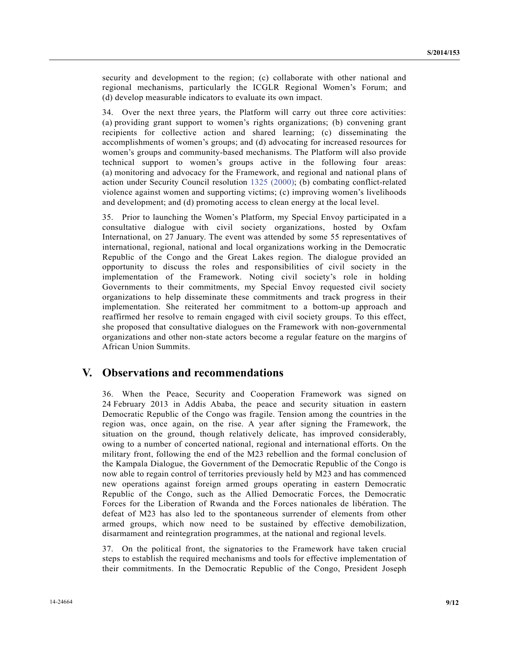security and development to the region; (c) collaborate with other national and regional mechanisms, particularly the ICGLR Regional Women's Forum; and (d) develop measurable indicators to evaluate its own impact.

34. Over the next three years, the Platform will carry out three core activities: (a) providing grant support to women's rights organizations; (b) convening grant recipients for collective action and shared learning; (c) disseminating the accomplishments of women's groups; and (d) advocating for increased resources for women's groups and community-based mechanisms. The Platform will also provide technical support to women's groups active in the following four areas: (a) monitoring and advocacy for the Framework, and regional and national plans of action under Security Council resolution 1325 (2000); (b) combating conflict-related violence against women and supporting victims; (c) improving women's livelihoods and development; and (d) promoting access to clean energy at the local level.

35. Prior to launching the Women's Platform, my Special Envoy participated in a consultative dialogue with civil society organizations, hosted by Oxfam International, on 27 January. The event was attended by some 55 representatives of international, regional, national and local organizations working in the Democratic Republic of the Congo and the Great Lakes region. The dialogue provided an opportunity to discuss the roles and responsibilities of civil society in the implementation of the Framework. Noting civil society's role in holding Governments to their commitments, my Special Envoy requested civil society organizations to help disseminate these commitments and track progress in their implementation. She reiterated her commitment to a bottom-up approach and reaffirmed her resolve to remain engaged with civil society groups. To this effect, she proposed that consultative dialogues on the Framework with non-governmental organizations and other non-state actors become a regular feature on the margins of African Union Summits.

### **V. Observations and recommendations**

36. When the Peace, Security and Cooperation Framework was signed on 24 February 2013 in Addis Ababa, the peace and security situation in eastern Democratic Republic of the Congo was fragile. Tension among the countries in the region was, once again, on the rise. A year after signing the Framework, the situation on the ground, though relatively delicate, has improved considerably, owing to a number of concerted national, regional and international efforts. On the military front, following the end of the M23 rebellion and the formal conclusion of the Kampala Dialogue, the Government of the Democratic Republic of the Congo is now able to regain control of territories previously held by M23 and has commenced new operations against foreign armed groups operating in eastern Democratic Republic of the Congo, such as the Allied Democratic Forces, the Democratic Forces for the Liberation of Rwanda and the Forces nationales de libération. The defeat of M23 has also led to the spontaneous surrender of elements from other armed groups, which now need to be sustained by effective demobilization, disarmament and reintegration programmes, at the national and regional levels.

37. On the political front, the signatories to the Framework have taken crucial steps to establish the required mechanisms and tools for effective implementation of their commitments. In the Democratic Republic of the Congo, President Joseph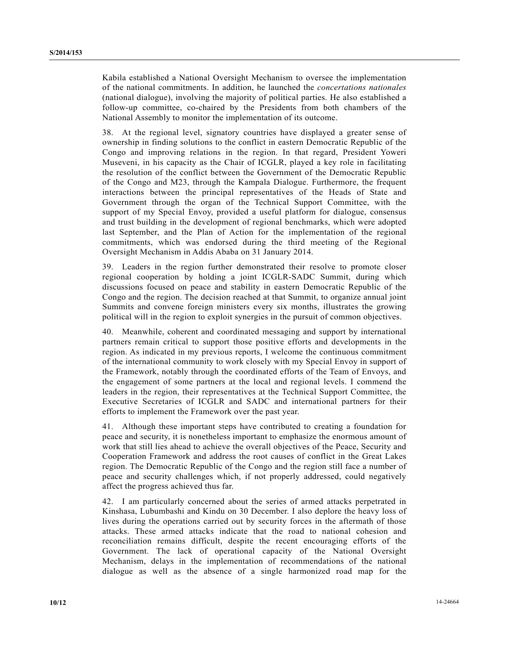Kabila established a National Oversight Mechanism to oversee the implementation of the national commitments. In addition, he launched the *concertations nationales* (national dialogue), involving the majority of political parties. He also established a follow-up committee, co-chaired by the Presidents from both chambers of the National Assembly to monitor the implementation of its outcome.

38. At the regional level, signatory countries have displayed a greater sense of ownership in finding solutions to the conflict in eastern Democratic Republic of the Congo and improving relations in the region. In that regard, President Yoweri Museveni, in his capacity as the Chair of ICGLR, played a key role in facilitating the resolution of the conflict between the Government of the Democratic Republic of the Congo and M23, through the Kampala Dialogue. Furthermore, the frequent interactions between the principal representatives of the Heads of State and Government through the organ of the Technical Support Committee, with the support of my Special Envoy, provided a useful platform for dialogue, consensus and trust building in the development of regional benchmarks, which were adopted last September, and the Plan of Action for the implementation of the regional commitments, which was endorsed during the third meeting of the Regional Oversight Mechanism in Addis Ababa on 31 January 2014.

39. Leaders in the region further demonstrated their resolve to promote closer regional cooperation by holding a joint ICGLR-SADC Summit, during which discussions focused on peace and stability in eastern Democratic Republic of the Congo and the region. The decision reached at that Summit, to organize annual joint Summits and convene foreign ministers every six months, illustrates the growing political will in the region to exploit synergies in the pursuit of common objectives.

40. Meanwhile, coherent and coordinated messaging and support by international partners remain critical to support those positive efforts and developments in the region. As indicated in my previous reports, I welcome the continuous commitment of the international community to work closely with my Special Envoy in support of the Framework, notably through the coordinated efforts of the Team of Envoys, and the engagement of some partners at the local and regional levels. I commend the leaders in the region, their representatives at the Technical Support Committee, the Executive Secretaries of ICGLR and SADC and international partners for their efforts to implement the Framework over the past year.

41. Although these important steps have contributed to creating a foundation for peace and security, it is nonetheless important to emphasize the enormous amount of work that still lies ahead to achieve the overall objectives of the Peace, Security and Cooperation Framework and address the root causes of conflict in the Great Lakes region. The Democratic Republic of the Congo and the region still face a number of peace and security challenges which, if not properly addressed, could negatively affect the progress achieved thus far.

42. I am particularly concerned about the series of armed attacks perpetrated in Kinshasa, Lubumbashi and Kindu on 30 December. I also deplore the heavy loss of lives during the operations carried out by security forces in the aftermath of those attacks. These armed attacks indicate that the road to national cohesion and reconciliation remains difficult, despite the recent encouraging efforts of the Government. The lack of operational capacity of the National Oversight Mechanism, delays in the implementation of recommendations of the national dialogue as well as the absence of a single harmonized road map for the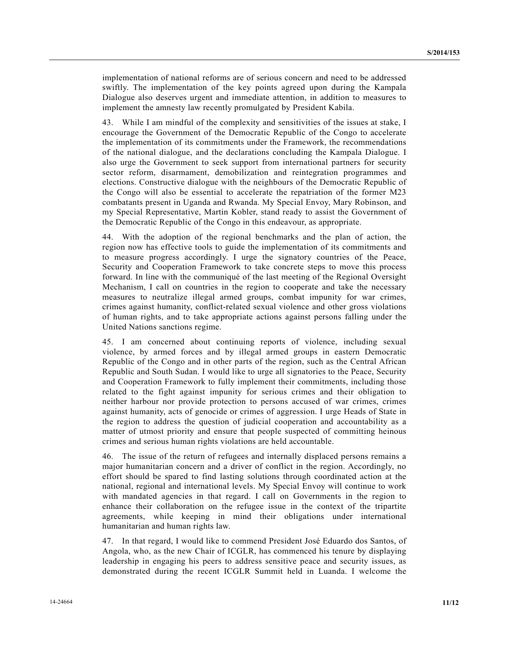implementation of national reforms are of serious concern and need to be addressed swiftly. The implementation of the key points agreed upon during the Kampala Dialogue also deserves urgent and immediate attention, in addition to measures to implement the amnesty law recently promulgated by President Kabila.

43. While I am mindful of the complexity and sensitivities of the issues at stake, I encourage the Government of the Democratic Republic of the Congo to accelerate the implementation of its commitments under the Framework, the recommendations of the national dialogue, and the declarations concluding the Kampala Dialogue. I also urge the Government to seek support from international partners for security sector reform, disarmament, demobilization and reintegration programmes and elections. Constructive dialogue with the neighbours of the Democratic Republic of the Congo will also be essential to accelerate the repatriation of the former M23 combatants present in Uganda and Rwanda. My Special Envoy, Mary Robinson, and my Special Representative, Martin Kobler, stand ready to assist the Government of the Democratic Republic of the Congo in this endeavour, as appropriate.

44. With the adoption of the regional benchmarks and the plan of action, the region now has effective tools to guide the implementation of its commitments and to measure progress accordingly. I urge the signatory countries of the Peace, Security and Cooperation Framework to take concrete steps to move this process forward. In line with the communiqué of the last meeting of the Regional Oversight Mechanism, I call on countries in the region to cooperate and take the necessary measures to neutralize illegal armed groups, combat impunity for war crimes, crimes against humanity, conflict-related sexual violence and other gross violations of human rights, and to take appropriate actions against persons falling under the United Nations sanctions regime.

45. I am concerned about continuing reports of violence, including sexual violence, by armed forces and by illegal armed groups in eastern Democratic Republic of the Congo and in other parts of the region, such as the Central African Republic and South Sudan. I would like to urge all signatories to the Peace, Security and Cooperation Framework to fully implement their commitments, including those related to the fight against impunity for serious crimes and their obligation to neither harbour nor provide protection to persons accused of war crimes, crimes against humanity, acts of genocide or crimes of aggression. I urge Heads of State in the region to address the question of judicial cooperation and accountability as a matter of utmost priority and ensure that people suspected of committing heinous crimes and serious human rights violations are held accountable.

46. The issue of the return of refugees and internally displaced persons remains a major humanitarian concern and a driver of conflict in the region. Accordingly, no effort should be spared to find lasting solutions through coordinated action at the national, regional and international levels. My Special Envoy will continue to work with mandated agencies in that regard. I call on Governments in the region to enhance their collaboration on the refugee issue in the context of the tripartite agreements, while keeping in mind their obligations under international humanitarian and human rights law.

47. In that regard, I would like to commend President José Eduardo dos Santos, of Angola, who, as the new Chair of ICGLR, has commenced his tenure by displaying leadership in engaging his peers to address sensitive peace and security issues, as demonstrated during the recent ICGLR Summit held in Luanda. I welcome the